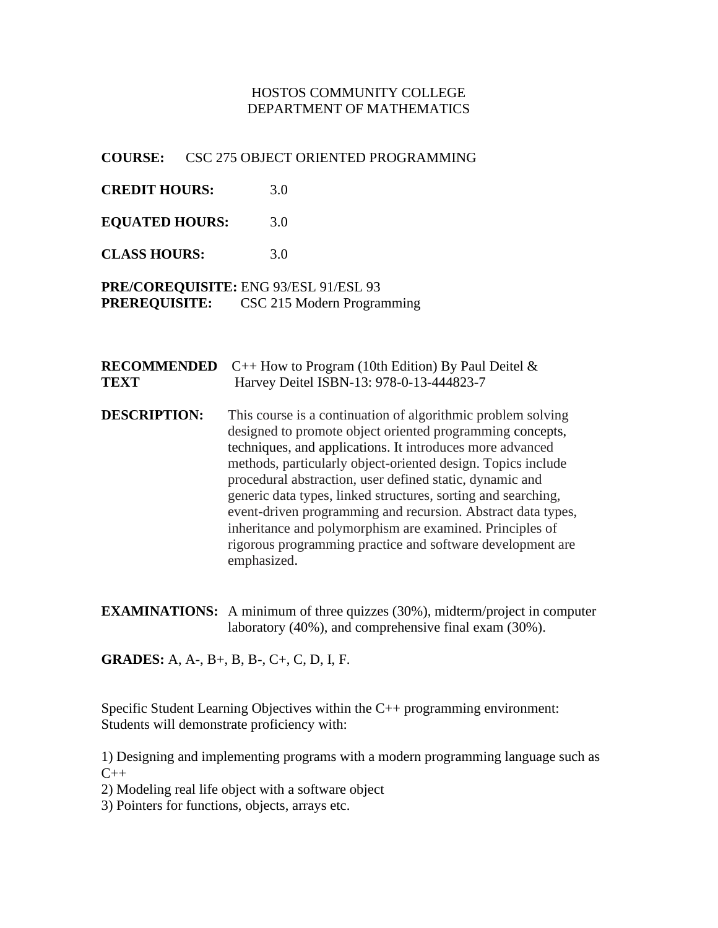## HOSTOS COMMUNITY COLLEGE DEPARTMENT OF MATHEMATICS

### **COURSE:** CSC 275 OBJECT ORIENTED PROGRAMMING

**CREDIT HOURS:** 3.0

**EQUATED HOURS:** 3.0

**CLASS HOURS:** 3.0

### **PRE/COREQUISITE:** ENG 93/ESL 91/ESL 93 **PREREQUISITE:** CSC 215 Modern Programming

|      | <b>RECOMMENDED</b> $C_{++}$ How to Program (10th Edition) By Paul Deitel $\&$ |
|------|-------------------------------------------------------------------------------|
| TEXT | Harvey Deitel ISBN-13: 978-0-13-444823-7                                      |

- **DESCRIPTION:** This course is a continuation of algorithmic problem solving designed to promote object oriented programming concepts, techniques, and applications. It introduces more advanced methods, particularly object-oriented design. Topics include procedural abstraction, user defined static, dynamic and generic data types, linked structures, sorting and searching, event-driven programming and recursion. Abstract data types, inheritance and polymorphism are examined. Principles of rigorous programming practice and software development are emphasized.
- **EXAMINATIONS:** A minimum of three quizzes (30%), midterm/project in computer laboratory (40%), and comprehensive final exam (30%).

**GRADES:** A, A-, B+, B, B-, C+, C, D, I, F.

Specific Student Learning Objectives within the C++ programming environment: Students will demonstrate proficiency with:

1) Designing and implementing programs with a modern programming language such as  $C_{++}$ 

2) Modeling real life object with a software object

3) Pointers for functions, objects, arrays etc.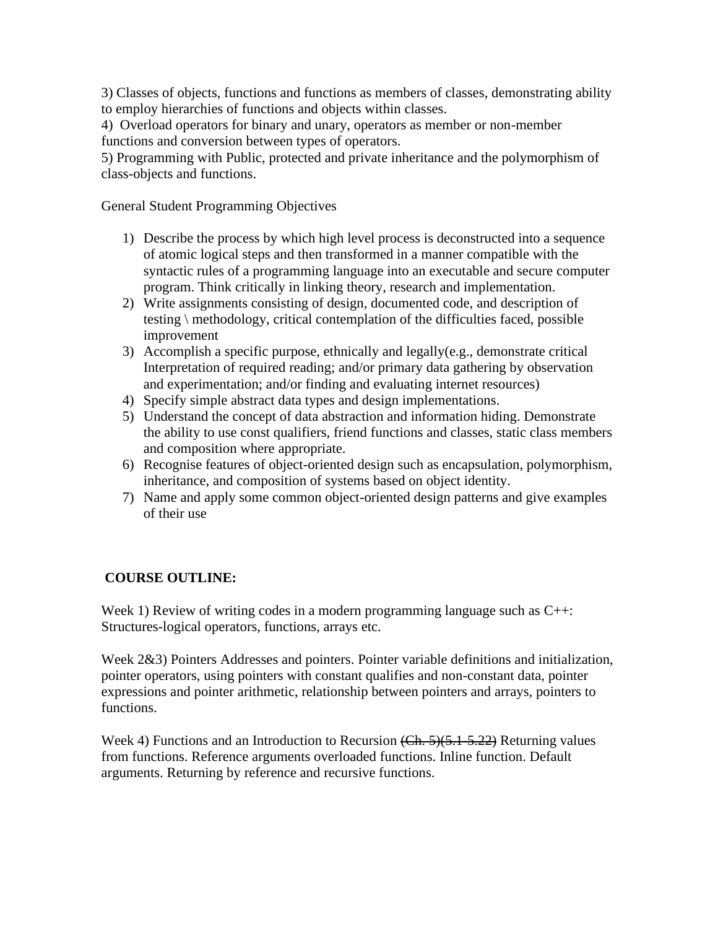3) Classes of objects, functions and functions as members of classes, demonstrating ability to employ hierarchies of functions and objects within classes.

4) Overload operators for binary and unary, operators as member or non-member functions and conversion between types of operators.

5) Programming with Public, protected and private inheritance and the polymorphism of class-objects and functions.

General Student Programming Objectives

- 1) Describe the process by which high level process is deconstructed into a sequence of atomic logical steps and then transformed in a manner compatible with the syntactic rules of a programming language into an executable and secure computer program. Think critically in linking theory, research and implementation.
- 2) Write assignments consisting of design, documented code, and description of testing \ methodology, critical contemplation of the difficulties faced, possible improvement
- 3) Accomplish a specific purpose, ethnically and legally(e.g., demonstrate critical Interpretation of required reading; and/or primary data gathering by observation and experimentation; and/or finding and evaluating internet resources)
- 4) Specify simple abstract data types and design implementations.
- 5) Understand the concept of data abstraction and information hiding. Demonstrate the ability to use const qualifiers, friend functions and classes, static class members and composition where appropriate.
- 6) Recognise features of object-oriented design such as encapsulation, polymorphism, inheritance, and composition of systems based on object identity.
- 7) Name and apply some common object-oriented design patterns and give examples of their use

# **COURSE OUTLINE:**

Week 1) Review of writing codes in a modern programming language such as C++: Structures-logical operators, functions, arrays etc.

Week 2&3) Pointers Addresses and pointers. Pointer variable definitions and initialization, pointer operators, using pointers with constant qualifies and non-constant data, pointer expressions and pointer arithmetic, relationship between pointers and arrays, pointers to functions.

Week 4) Functions and an Introduction to Recursion (Ch. 5)(5.1-5.22) Returning values from functions. Reference arguments overloaded functions. Inline function. Default arguments. Returning by reference and recursive functions.